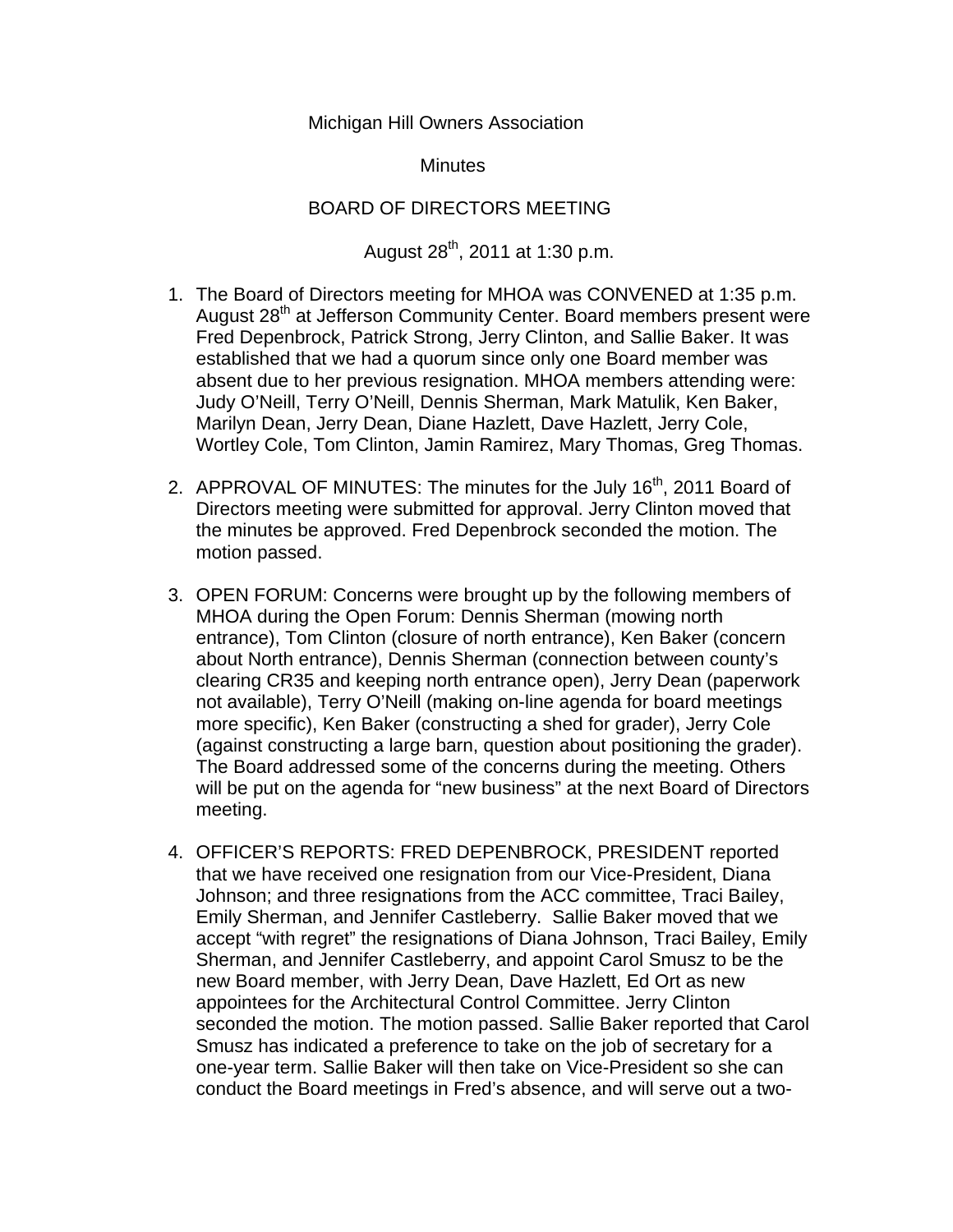## Michigan Hill Owners Association

**Minutes** 

## BOARD OF DIRECTORS MEETING

## August  $28^{th}$ , 2011 at 1:30 p.m.

- 1. The Board of Directors meeting for MHOA was CONVENED at 1:35 p.m. August 28<sup>th</sup> at Jefferson Community Center. Board members present were Fred Depenbrock, Patrick Strong, Jerry Clinton, and Sallie Baker. It was established that we had a quorum since only one Board member was absent due to her previous resignation. MHOA members attending were: Judy O'Neill, Terry O'Neill, Dennis Sherman, Mark Matulik, Ken Baker, Marilyn Dean, Jerry Dean, Diane Hazlett, Dave Hazlett, Jerry Cole, Wortley Cole, Tom Clinton, Jamin Ramirez, Mary Thomas, Greg Thomas.
- 2. APPROVAL OF MINUTES: The minutes for the July 16<sup>th</sup>, 2011 Board of Directors meeting were submitted for approval. Jerry Clinton moved that the minutes be approved. Fred Depenbrock seconded the motion. The motion passed.
- 3. OPEN FORUM: Concerns were brought up by the following members of MHOA during the Open Forum: Dennis Sherman (mowing north entrance), Tom Clinton (closure of north entrance), Ken Baker (concern about North entrance), Dennis Sherman (connection between county's clearing CR35 and keeping north entrance open), Jerry Dean (paperwork not available), Terry O'Neill (making on-line agenda for board meetings more specific), Ken Baker (constructing a shed for grader), Jerry Cole (against constructing a large barn, question about positioning the grader). The Board addressed some of the concerns during the meeting. Others will be put on the agenda for "new business" at the next Board of Directors meeting.
- 4. OFFICER'S REPORTS: FRED DEPENBROCK, PRESIDENT reported that we have received one resignation from our Vice-President, Diana Johnson; and three resignations from the ACC committee, Traci Bailey, Emily Sherman, and Jennifer Castleberry. Sallie Baker moved that we accept "with regret" the resignations of Diana Johnson, Traci Bailey, Emily Sherman, and Jennifer Castleberry, and appoint Carol Smusz to be the new Board member, with Jerry Dean, Dave Hazlett, Ed Ort as new appointees for the Architectural Control Committee. Jerry Clinton seconded the motion. The motion passed. Sallie Baker reported that Carol Smusz has indicated a preference to take on the job of secretary for a one-year term. Sallie Baker will then take on Vice-President so she can conduct the Board meetings in Fred's absence, and will serve out a two-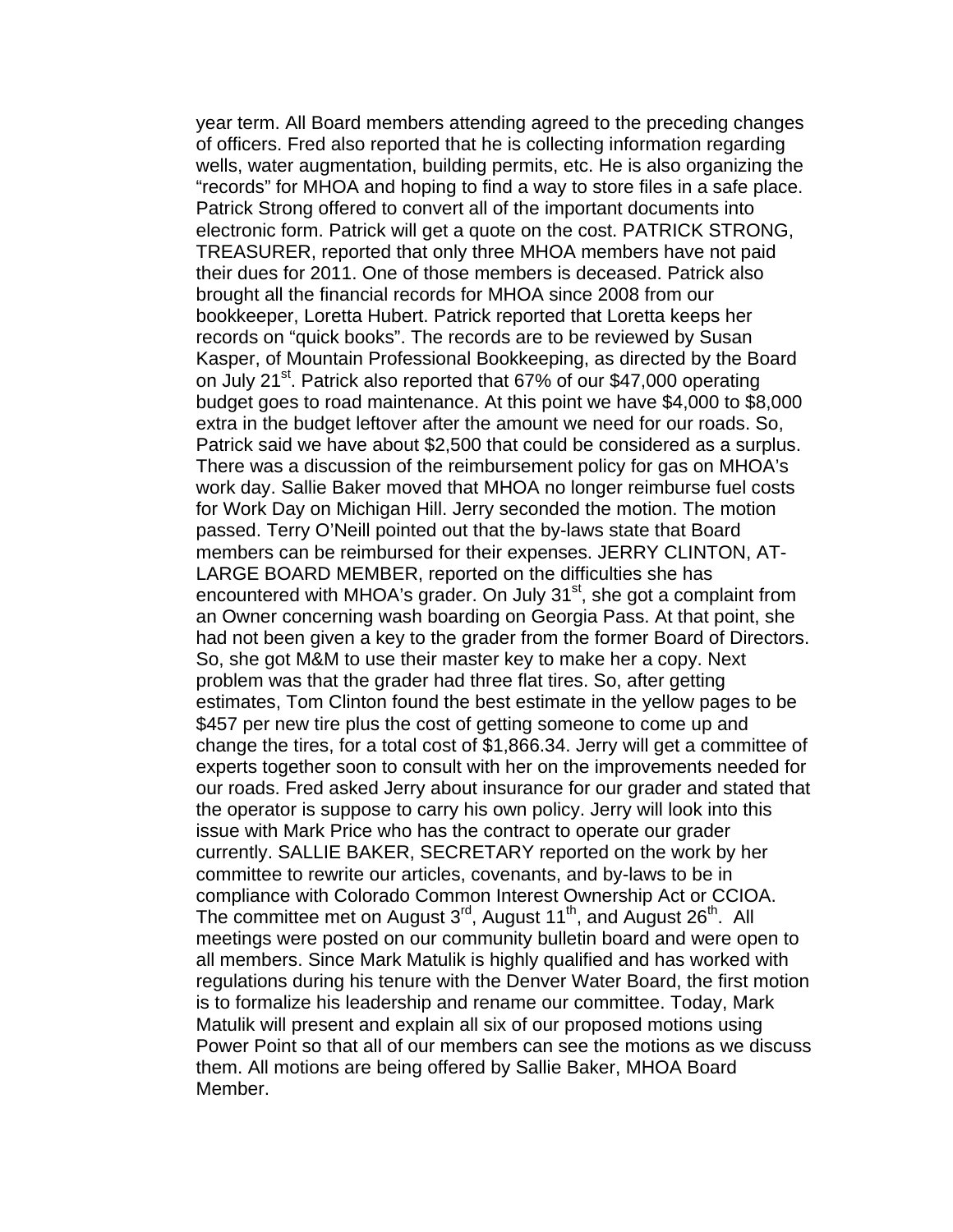year term. All Board members attending agreed to the preceding changes of officers. Fred also reported that he is collecting information regarding wells, water augmentation, building permits, etc. He is also organizing the "records" for MHOA and hoping to find a way to store files in a safe place. Patrick Strong offered to convert all of the important documents into electronic form. Patrick will get a quote on the cost. PATRICK STRONG, TREASURER, reported that only three MHOA members have not paid their dues for 2011. One of those members is deceased. Patrick also brought all the financial records for MHOA since 2008 from our bookkeeper, Loretta Hubert. Patrick reported that Loretta keeps her records on "quick books". The records are to be reviewed by Susan Kasper, of Mountain Professional Bookkeeping, as directed by the Board on July 21<sup>st</sup>. Patrick also reported that 67% of our \$47,000 operating budget goes to road maintenance. At this point we have \$4,000 to \$8,000 extra in the budget leftover after the amount we need for our roads. So, Patrick said we have about \$2,500 that could be considered as a surplus. There was a discussion of the reimbursement policy for gas on MHOA's work day. Sallie Baker moved that MHOA no longer reimburse fuel costs for Work Day on Michigan Hill. Jerry seconded the motion. The motion passed. Terry O'Neill pointed out that the by-laws state that Board members can be reimbursed for their expenses. JERRY CLINTON, AT-LARGE BOARD MEMBER, reported on the difficulties she has encountered with MHOA's grader. On July 31<sup>st</sup>, she got a complaint from an Owner concerning wash boarding on Georgia Pass. At that point, she had not been given a key to the grader from the former Board of Directors. So, she got M&M to use their master key to make her a copy. Next problem was that the grader had three flat tires. So, after getting estimates, Tom Clinton found the best estimate in the yellow pages to be \$457 per new tire plus the cost of getting someone to come up and change the tires, for a total cost of \$1,866.34. Jerry will get a committee of experts together soon to consult with her on the improvements needed for our roads. Fred asked Jerry about insurance for our grader and stated that the operator is suppose to carry his own policy. Jerry will look into this issue with Mark Price who has the contract to operate our grader currently. SALLIE BAKER, SECRETARY reported on the work by her committee to rewrite our articles, covenants, and by-laws to be in compliance with Colorado Common Interest Ownership Act or CCIOA. The committee met on August  $3^{rd}$ , August  $11^{th}$ , and August  $26^{th}$ . All meetings were posted on our community bulletin board and were open to all members. Since Mark Matulik is highly qualified and has worked with regulations during his tenure with the Denver Water Board, the first motion is to formalize his leadership and rename our committee. Today, Mark Matulik will present and explain all six of our proposed motions using Power Point so that all of our members can see the motions as we discuss them. All motions are being offered by Sallie Baker, MHOA Board Member.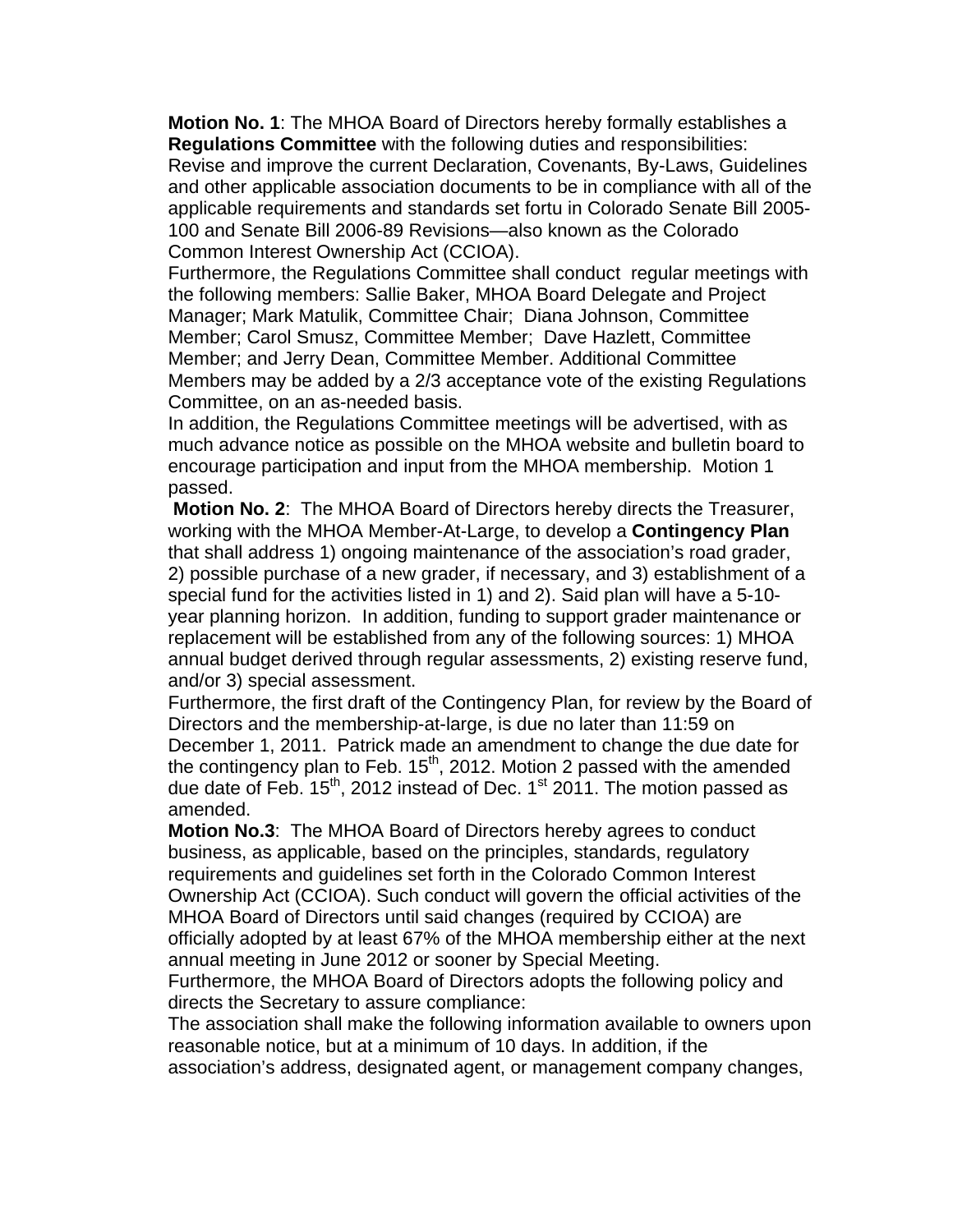**Motion No. 1**: The MHOA Board of Directors hereby formally establishes a **Regulations Committee** with the following duties and responsibilities: Revise and improve the current Declaration, Covenants, By-Laws, Guidelines and other applicable association documents to be in compliance with all of the applicable requirements and standards set fortu in Colorado Senate Bill 2005- 100 and Senate Bill 2006-89 Revisions—also known as the Colorado Common Interest Ownership Act (CCIOA).

Furthermore, the Regulations Committee shall conduct regular meetings with the following members: Sallie Baker, MHOA Board Delegate and Project Manager; Mark Matulik, Committee Chair; Diana Johnson, Committee Member; Carol Smusz, Committee Member; Dave Hazlett, Committee Member; and Jerry Dean, Committee Member. Additional Committee Members may be added by a 2/3 acceptance vote of the existing Regulations Committee, on an as-needed basis.

In addition, the Regulations Committee meetings will be advertised, with as much advance notice as possible on the MHOA website and bulletin board to encourage participation and input from the MHOA membership. Motion 1 passed.

**Motion No. 2**: The MHOA Board of Directors hereby directs the Treasurer, working with the MHOA Member-At-Large, to develop a **Contingency Plan** that shall address 1) ongoing maintenance of the association's road grader, 2) possible purchase of a new grader, if necessary, and 3) establishment of a special fund for the activities listed in 1) and 2). Said plan will have a 5-10 year planning horizon. In addition, funding to support grader maintenance or replacement will be established from any of the following sources: 1) MHOA annual budget derived through regular assessments, 2) existing reserve fund, and/or 3) special assessment.

Furthermore, the first draft of the Contingency Plan, for review by the Board of Directors and the membership-at-large, is due no later than 11:59 on December 1, 2011. Patrick made an amendment to change the due date for the contingency plan to Feb. 15<sup>th</sup>, 2012. Motion 2 passed with the amended due date of Feb.  $15<sup>th</sup>$ , 2012 instead of Dec.  $1<sup>st</sup>$  2011. The motion passed as amended.

**Motion No.3**: The MHOA Board of Directors hereby agrees to conduct business, as applicable, based on the principles, standards, regulatory requirements and guidelines set forth in the Colorado Common Interest Ownership Act (CCIOA). Such conduct will govern the official activities of the MHOA Board of Directors until said changes (required by CCIOA) are officially adopted by at least 67% of the MHOA membership either at the next annual meeting in June 2012 or sooner by Special Meeting.

Furthermore, the MHOA Board of Directors adopts the following policy and directs the Secretary to assure compliance:

The association shall make the following information available to owners upon reasonable notice, but at a minimum of 10 days. In addition, if the

association's address, designated agent, or management company changes,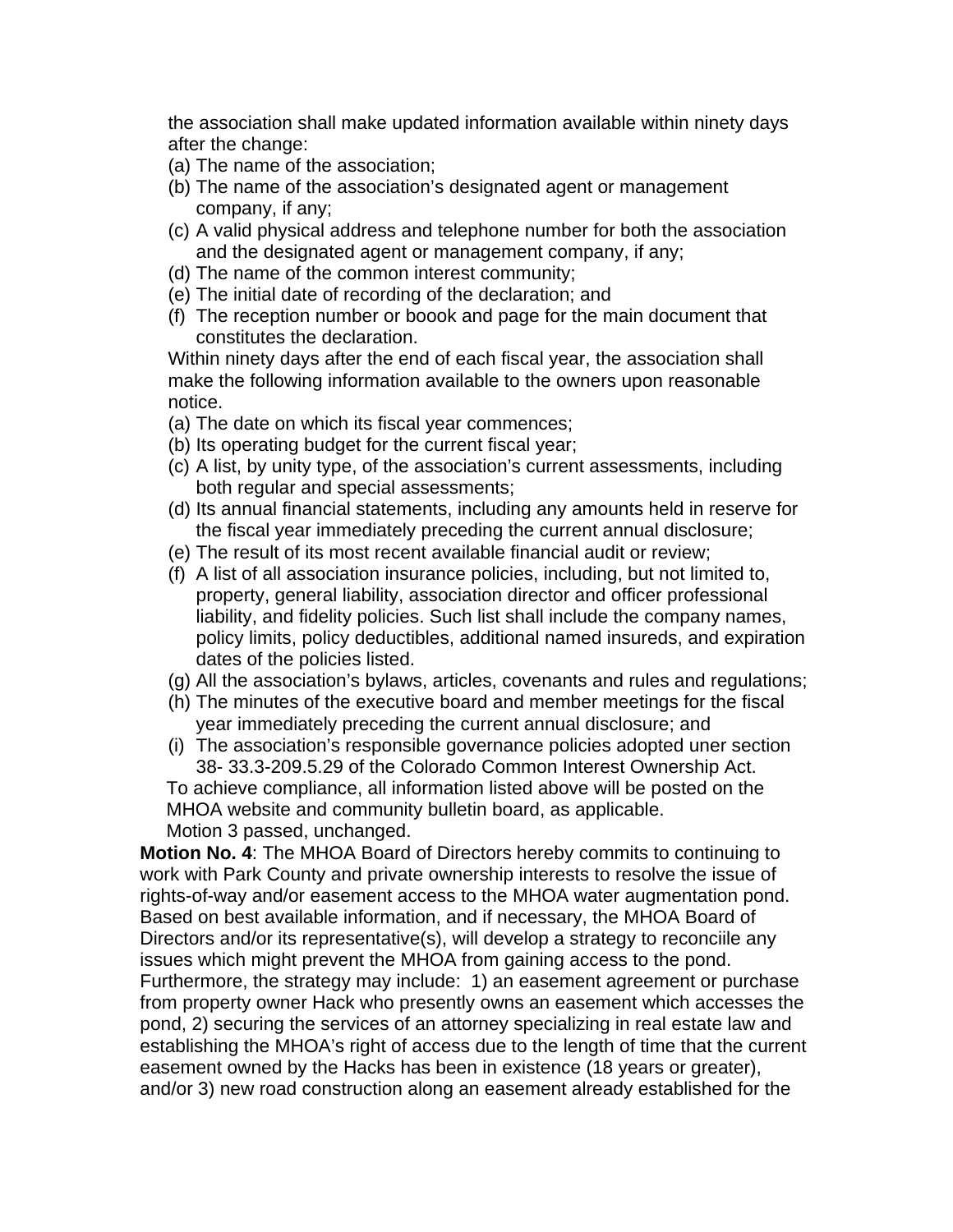the association shall make updated information available within ninety days after the change:

- (a) The name of the association;
- (b) The name of the association's designated agent or management company, if any;
- (c) A valid physical address and telephone number for both the association and the designated agent or management company, if any;
- (d) The name of the common interest community;
- (e) The initial date of recording of the declaration; and
- (f) The reception number or boook and page for the main document that constitutes the declaration.

Within ninety days after the end of each fiscal year, the association shall make the following information available to the owners upon reasonable notice.

- (a) The date on which its fiscal year commences;
- (b) Its operating budget for the current fiscal year;
- (c) A list, by unity type, of the association's current assessments, including both regular and special assessments;
- (d) Its annual financial statements, including any amounts held in reserve for the fiscal year immediately preceding the current annual disclosure;
- (e) The result of its most recent available financial audit or review;
- (f) A list of all association insurance policies, including, but not limited to, property, general liability, association director and officer professional liability, and fidelity policies. Such list shall include the company names, policy limits, policy deductibles, additional named insureds, and expiration dates of the policies listed.
- (g) All the association's bylaws, articles, covenants and rules and regulations;
- (h) The minutes of the executive board and member meetings for the fiscal year immediately preceding the current annual disclosure; and
- (i) The association's responsible governance policies adopted uner section 38- 33.3-209.5.29 of the Colorado Common Interest Ownership Act.

To achieve compliance, all information listed above will be posted on the MHOA website and community bulletin board, as applicable.

Motion 3 passed, unchanged. **Motion No. 4**: The MHOA Board of Directors hereby commits to continuing to

work with Park County and private ownership interests to resolve the issue of rights-of-way and/or easement access to the MHOA water augmentation pond. Based on best available information, and if necessary, the MHOA Board of Directors and/or its representative(s), will develop a strategy to reconciile any issues which might prevent the MHOA from gaining access to the pond. Furthermore, the strategy may include: 1) an easement agreement or purchase from property owner Hack who presently owns an easement which accesses the pond, 2) securing the services of an attorney specializing in real estate law and establishing the MHOA's right of access due to the length of time that the current easement owned by the Hacks has been in existence (18 years or greater), and/or 3) new road construction along an easement already established for the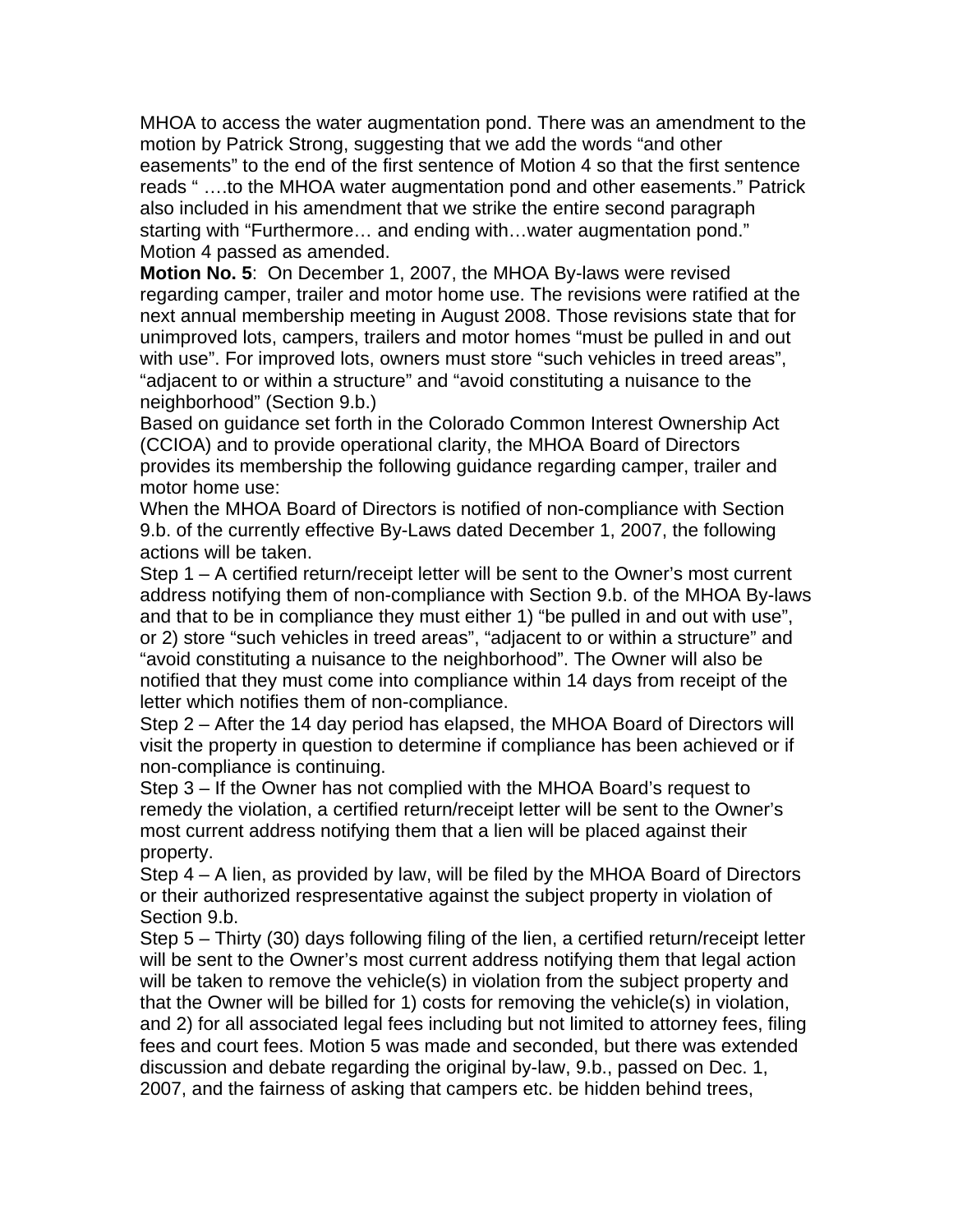MHOA to access the water augmentation pond. There was an amendment to the motion by Patrick Strong, suggesting that we add the words "and other easements" to the end of the first sentence of Motion 4 so that the first sentence reads " ….to the MHOA water augmentation pond and other easements." Patrick also included in his amendment that we strike the entire second paragraph starting with "Furthermore… and ending with…water augmentation pond." Motion 4 passed as amended.

**Motion No. 5**: On December 1, 2007, the MHOA By-laws were revised regarding camper, trailer and motor home use. The revisions were ratified at the next annual membership meeting in August 2008. Those revisions state that for unimproved lots, campers, trailers and motor homes "must be pulled in and out with use". For improved lots, owners must store "such vehicles in treed areas", "adjacent to or within a structure" and "avoid constituting a nuisance to the neighborhood" (Section 9.b.)

Based on guidance set forth in the Colorado Common Interest Ownership Act (CCIOA) and to provide operational clarity, the MHOA Board of Directors provides its membership the following guidance regarding camper, trailer and motor home use:

When the MHOA Board of Directors is notified of non-compliance with Section 9.b. of the currently effective By-Laws dated December 1, 2007, the following actions will be taken.

Step 1 – A certified return/receipt letter will be sent to the Owner's most current address notifying them of non-compliance with Section 9.b. of the MHOA By-laws and that to be in compliance they must either 1) "be pulled in and out with use", or 2) store "such vehicles in treed areas", "adjacent to or within a structure" and "avoid constituting a nuisance to the neighborhood". The Owner will also be notified that they must come into compliance within 14 days from receipt of the letter which notifies them of non-compliance.

Step 2 – After the 14 day period has elapsed, the MHOA Board of Directors will visit the property in question to determine if compliance has been achieved or if non-compliance is continuing.

Step 3 – If the Owner has not complied with the MHOA Board's request to remedy the violation, a certified return/receipt letter will be sent to the Owner's most current address notifying them that a lien will be placed against their property.

Step 4 – A lien, as provided by law, will be filed by the MHOA Board of Directors or their authorized respresentative against the subject property in violation of Section 9.b.

Step 5 – Thirty (30) days following filing of the lien, a certified return/receipt letter will be sent to the Owner's most current address notifying them that legal action will be taken to remove the vehicle(s) in violation from the subject property and that the Owner will be billed for 1) costs for removing the vehicle(s) in violation, and 2) for all associated legal fees including but not limited to attorney fees, filing fees and court fees. Motion 5 was made and seconded, but there was extended discussion and debate regarding the original by-law, 9.b., passed on Dec. 1, 2007, and the fairness of asking that campers etc. be hidden behind trees,